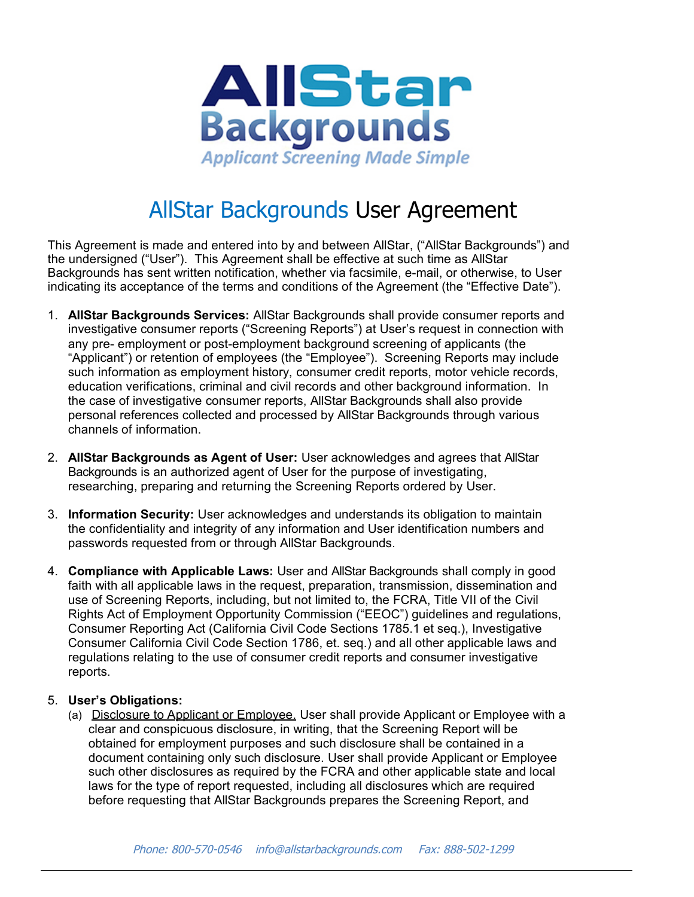

## AllStar Backgrounds User Agreement

This Agreement is made and entered into by and between AllStar, ("AllStar Backgrounds") and the undersigned ("User"). This Agreement shall be effective at such time as AllStar Backgrounds has sent written notification, whether via facsimile, e-mail, or otherwise, to User indicating its acceptance of the terms and conditions of the Agreement (the "Effective Date").

- 1. **AllStar Backgrounds Services:** AllStar Backgrounds shall provide consumer reports and investigative consumer reports ("Screening Reports") at User's request in connection with any pre- employment or post-employment background screening of applicants (the "Applicant") or retention of employees (the "Employee"). Screening Reports may include such information as employment history, consumer credit reports, motor vehicle records, education verifications, criminal and civil records and other background information. In the case of investigative consumer reports, AllStar Backgrounds shall also provide personal references collected and processed by AllStar Backgrounds through various channels of information.
- 2. **AllStar Backgrounds as Agent of User:** User acknowledges and agrees that AllStar Backgrounds is an authorized agent of User for the purpose of investigating, researching, preparing and returning the Screening Reports ordered by User.
- 3. **Information Security:** User acknowledges and understands its obligation to maintain the confidentiality and integrity of any information and User identification numbers and passwords requested from or through AllStar Backgrounds.
- 4. **Compliance with Applicable Laws:** User and AllStar Backgrounds shall comply in good faith with all applicable laws in the request, preparation, transmission, dissemination and use of Screening Reports, including, but not limited to, the FCRA, Title VII of the Civil Rights Act of Employment Opportunity Commission ("EEOC") guidelines and regulations, Consumer Reporting Act (California Civil Code Sections 1785.1 et seq.), Investigative Consumer California Civil Code Section 1786, et. seq.) and all other applicable laws and regulations relating to the use of consumer credit reports and consumer investigative reports.

## 5. **User's Obligations:**

(a) Disclosure to Applicant or Employee. User shall provide Applicant or Employee with a clear and conspicuous disclosure, in writing, that the Screening Report will be obtained for employment purposes and such disclosure shall be contained in a document containing only such disclosure. User shall provide Applicant or Employee such other disclosures as required by the FCRA and other applicable state and local laws for the type of report requested, including all disclosures which are required before requesting that AllStar Backgrounds prepares the Screening Report, and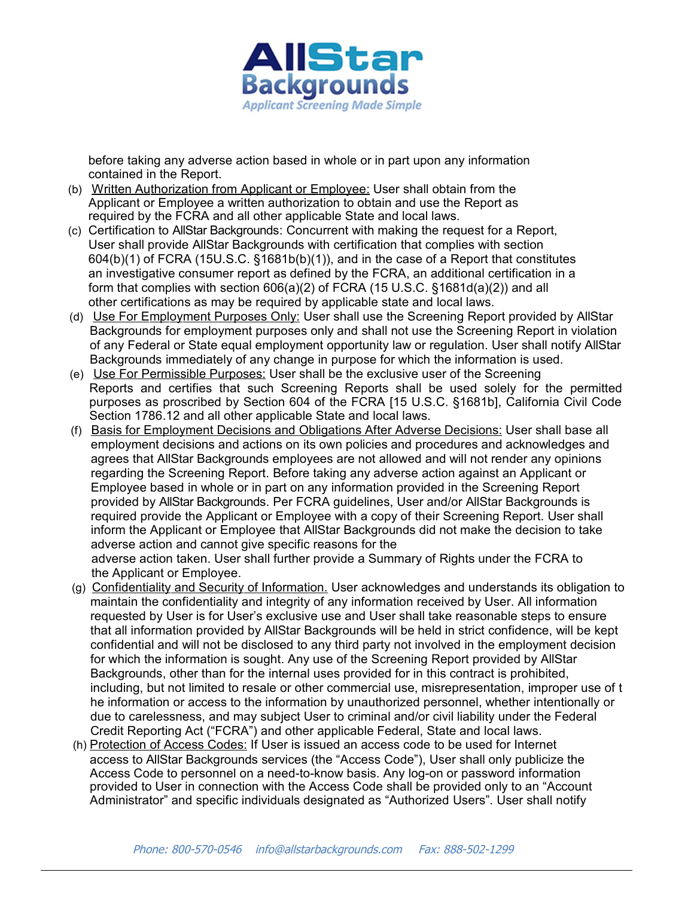

before taking any adverse action based in whole or in part upon any information contained in the Report.

- (b) Written Authorization from Applicant or Employee: User shall obtain from the Applicant or Employee a written authorization to obtain and use the Report as required by the FCRA and all other applicable State and local laws.
- (c) Certification to AllStar Backgrounds: Concurrent with making the request for a Report, User shall provide AllStar Backgrounds with certification that complies with section 604(b)(1) of FCRA (15U.S.C. §1681b(b)(1)), and in the case of a Report that constitutes an investigative consumer report as defined by the FCRA, an additional certification in a form that complies with section 606(a)(2) of FCRA (15 U.S.C. §1681d(a)(2)) and all other certifications as may be required by applicable state and local laws.
- (d) Use For Employment Purposes Only: User shall use the Screening Report provided by AllStar Backgrounds for employment purposes only and shall not use the Screening Report in violation of any Federal or State equal employment opportunity law or regulation. User shall notify AllStar Backgrounds immediately of any change in purpose for which the information is used.
- (e) Use For Permissible Purposes: User shall be the exclusive user of the Screening Reports and certifies that such Screening Reports shall be used solely for the permitted purposes as proscribed by Section 604 of the FCRA [15 U.S.C. §1681b], California Civil Code Section 1786.12 and all other applicable State and local laws.
- (f) Basis for Employment Decisions and Obligations After Adverse Decisions: User shall base all employment decisions and actions on its own policies and procedures and acknowledges and agrees that AllStar Backgrounds employees are not allowed and will not render any opinions regarding the Screening Report. Before taking any adverse action against an Applicant or Employee based in whole or in part on any information provided in the Screening Report provided by AllStar Backgrounds. Per FCRA guidelines, User and/or AllStar Backgrounds is required provide the Applicant or Employee with a copy of their Screening Report. User shall inform the Applicant or Employee that AllStar Backgrounds did not make the decision to take adverse action and cannot give specific reasons for the adverse action taken. User shall further provide a Summary of Rights under the FCRA to the Applicant or Employee.
- (g) Confidentiality and Security of Information. User acknowledges and understands its obligation to maintain the confidentiality and integrity of any information received by User. All information requested by User is for User's exclusive use and User shall take reasonable steps to ensure that all information provided by AllStar Backgrounds will be held in strict confidence, will be kept confidential and will not be disclosed to any third party not involved in the employment decision for which the information is sought. Any use of the Screening Report provided by AllStar Backgrounds, other than for the internal uses provided for in this contract is prohibited, including, but not limited to resale or other commercial use, misrepresentation, improper use of t he information or access to the information by unauthorized personnel, whether intentionally or due to carelessness, and may subject User to criminal and/or civil liability under the Federal Credit Reporting Act ("FCRA") and other applicable Federal, State and local laws.
- (h) Protection of Access Codes: If User is issued an access code to be used for Internet access to AllStar Backgrounds services (the "Access Code"), User shall only publicize the Access Code to personnel on a need-to-know basis. Any log-on or password information provided to User in connection with the Access Code shall be provided only to an "Account Administrator" and specific individuals designated as "Authorized Users". User shall notify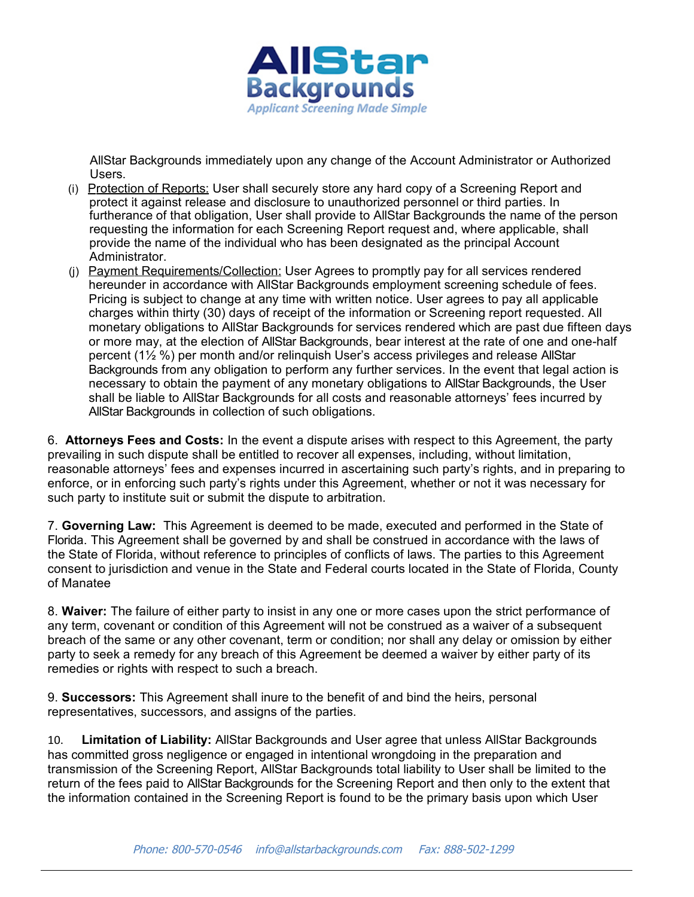

AllStar Backgrounds immediately upon any change of the Account Administrator or Authorized Users.

- (i) Protection of Reports: User shall securely store any hard copy of a Screening Report and protect it against release and disclosure to unauthorized personnel or third parties. In furtherance of that obligation, User shall provide to AllStar Backgrounds the name of the person requesting the information for each Screening Report request and, where applicable, shall provide the name of the individual who has been designated as the principal Account Administrator.
- (i) Payment Requirements/Collection: User Agrees to promptly pay for all services rendered hereunder in accordance with AllStar Backgrounds employment screening schedule of fees. Pricing is subject to change at any time with written notice. User agrees to pay all applicable charges within thirty (30) days of receipt of the information or Screening report requested. All monetary obligations to AllStar Backgrounds for services rendered which are past due fifteen days or more may, at the election of AllStar Backgrounds, bear interest at the rate of one and one-half percent (1½ %) per month and/or relinquish User's access privileges and release AllStar Backgrounds from any obligation to perform any further services. In the event that legal action is necessary to obtain the payment of any monetary obligations to AllStar Backgrounds, the User shall be liable to AllStar Backgrounds for all costs and reasonable attorneys' fees incurred by AllStar Backgrounds in collection of such obligations.

6. **Attorneys Fees and Costs:** In the event a dispute arises with respect to this Agreement, the party prevailing in such dispute shall be entitled to recover all expenses, including, without limitation, reasonable attorneys' fees and expenses incurred in ascertaining such party's rights, and in preparing to enforce, or in enforcing such party's rights under this Agreement, whether or not it was necessary for such party to institute suit or submit the dispute to arbitration.

7. **Governing Law:** This Agreement is deemed to be made, executed and performed in the State of Florida. This Agreement shall be governed by and shall be construed in accordance with the laws of the State of Florida, without reference to principles of conflicts of laws. The parties to this Agreement consent to jurisdiction and venue in the State and Federal courts located in the State of Florida, County of Manatee

8. **Waiver:** The failure of either party to insist in any one or more cases upon the strict performance of any term, covenant or condition of this Agreement will not be construed as a waiver of a subsequent breach of the same or any other covenant, term or condition; nor shall any delay or omission by either party to seek a remedy for any breach of this Agreement be deemed a waiver by either party of its remedies or rights with respect to such a breach.

9. **Successors:** This Agreement shall inure to the benefit of and bind the heirs, personal representatives, successors, and assigns of the parties.

10. **Limitation of Liability:** AllStar Backgrounds and User agree that unless AllStar Backgrounds has committed gross negligence or engaged in intentional wrongdoing in the preparation and transmission of the Screening Report, AllStar Backgrounds total liability to User shall be limited to the return of the fees paid to AllStar Backgrounds for the Screening Report and then only to the extent that the information contained in the Screening Report is found to be the primary basis upon which User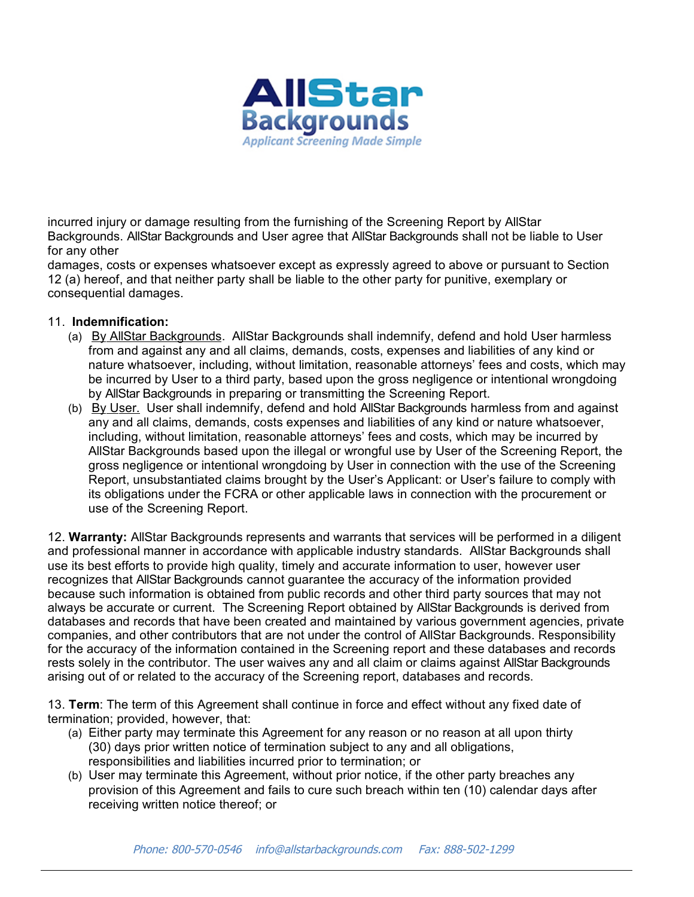

incurred injury or damage resulting from the furnishing of the Screening Report by AllStar Backgrounds. AllStar Backgrounds and User agree that AllStar Backgrounds shall not be liable to User for any other

damages, costs or expenses whatsoever except as expressly agreed to above or pursuant to Section 12 (a) hereof, and that neither party shall be liable to the other party for punitive, exemplary or consequential damages.

## 11. **Indemnification:**

- (a) By AllStar Backgrounds. AllStar Backgrounds shall indemnify, defend and hold User harmless from and against any and all claims, demands, costs, expenses and liabilities of any kind or nature whatsoever, including, without limitation, reasonable attorneys' fees and costs, which may be incurred by User to a third party, based upon the gross negligence or intentional wrongdoing by AllStar Backgrounds in preparing or transmitting the Screening Report.
- (b) By User. User shall indemnify, defend and hold AllStar Backgrounds harmless from and against any and all claims, demands, costs expenses and liabilities of any kind or nature whatsoever, including, without limitation, reasonable attorneys' fees and costs, which may be incurred by AllStar Backgrounds based upon the illegal or wrongful use by User of the Screening Report, the gross negligence or intentional wrongdoing by User in connection with the use of the Screening Report, unsubstantiated claims brought by the User's Applicant: or User's failure to comply with its obligations under the FCRA or other applicable laws in connection with the procurement or use of the Screening Report.

12. **Warranty:** AllStar Backgrounds represents and warrants that services will be performed in a diligent and professional manner in accordance with applicable industry standards. AllStar Backgrounds shall use its best efforts to provide high quality, timely and accurate information to user, however user recognizes that AllStar Backgrounds cannot guarantee the accuracy of the information provided because such information is obtained from public records and other third party sources that may not always be accurate or current. The Screening Report obtained by AllStar Backgrounds is derived from databases and records that have been created and maintained by various government agencies, private companies, and other contributors that are not under the control of AllStar Backgrounds. Responsibility for the accuracy of the information contained in the Screening report and these databases and records rests solely in the contributor. The user waives any and all claim or claims against AllStar Backgrounds arising out of or related to the accuracy of the Screening report, databases and records.

13. **Term**: The term of this Agreement shall continue in force and effect without any fixed date of termination; provided, however, that:

- (a) Either party may terminate this Agreement for any reason or no reason at all upon thirty (30) days prior written notice of termination subject to any and all obligations, responsibilities and liabilities incurred prior to termination; or
- (b) User may terminate this Agreement, without prior notice, if the other party breaches any provision of this Agreement and fails to cure such breach within ten (10) calendar days after receiving written notice thereof; or